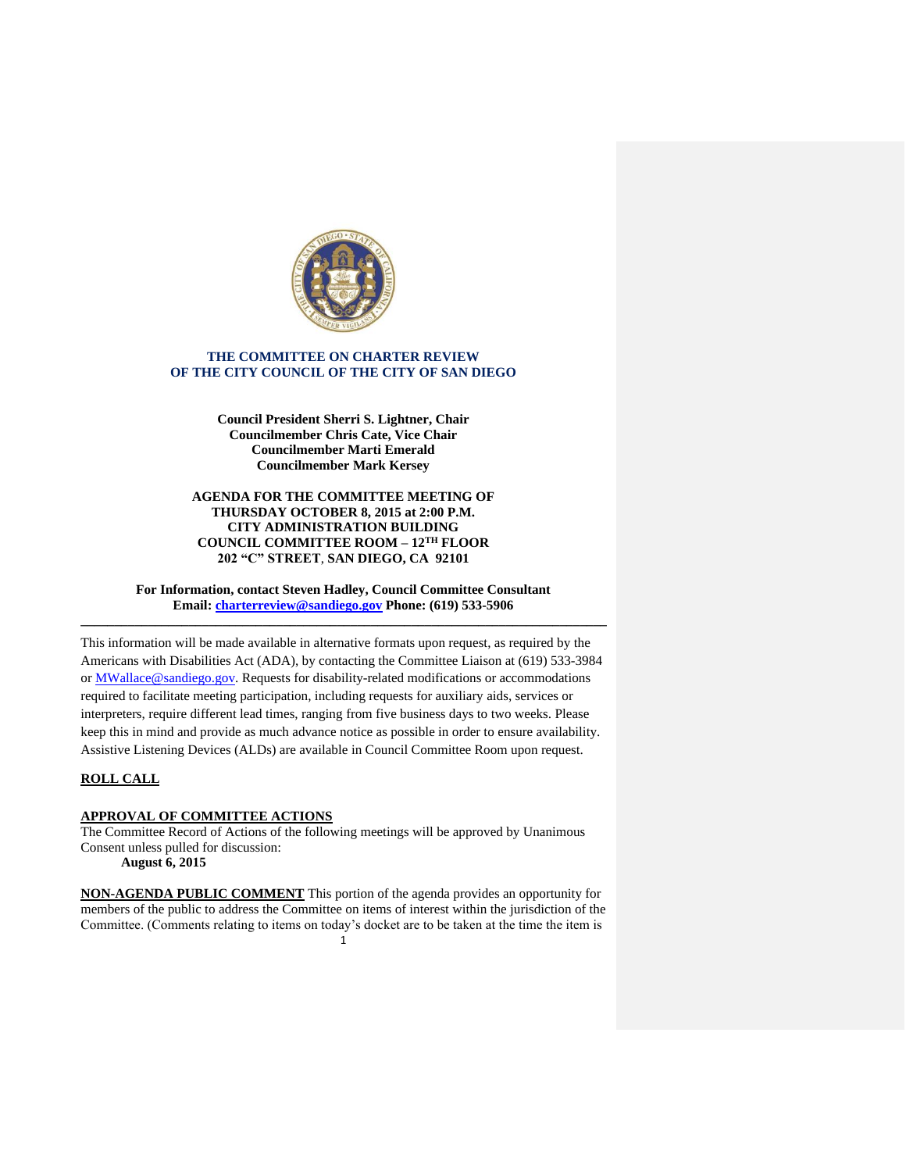

# **THE COMMITTEE ON CHARTER REVIEW OF THE CITY COUNCIL OF THE CITY OF SAN DIEGO**

**Council President Sherri S. Lightner, Chair Councilmember Chris Cate, Vice Chair Councilmember Marti Emerald Councilmember Mark Kersey**

### **AGENDA FOR THE COMMITTEE MEETING OF THURSDAY OCTOBER 8, 2015 at 2:00 P.M. CITY ADMINISTRATION BUILDING COUNCIL COMMITTEE ROOM – 12TH FLOOR 202 "C" STREET**, **SAN DIEGO, CA 92101**

**For Information, contact Steven Hadley, Council Committee Consultant Email: [charterreview@sandiego.gov](mailto:charterreview@sandiego.gov) Phone: (619) 533-5906 \_\_\_\_\_\_\_\_\_\_\_\_\_\_\_\_\_\_\_\_\_\_\_\_\_\_\_\_\_\_\_\_\_\_\_\_\_\_\_\_\_\_\_\_\_\_\_\_\_\_\_\_\_\_\_\_\_\_\_\_\_\_\_\_\_\_\_\_\_\_\_\_\_\_\_\_\_\_**

This information will be made available in alternative formats upon request, as required by the Americans with Disabilities Act (ADA), by contacting the Committee Liaison at (619) 533-3984 or MWallace@sandiego.gov. Requests for disability-related modifications or accommodations required to facilitate meeting participation, including requests for auxiliary aids, services or interpreters, require different lead times, ranging from five business days to two weeks. Please keep this in mind and provide as much advance notice as possible in order to ensure availability. Assistive Listening Devices (ALDs) are available in Council Committee Room upon request.

# **ROLL CALL**

#### **APPROVAL OF COMMITTEE ACTIONS**

The Committee Record of Actions of the following meetings will be approved by Unanimous Consent unless pulled for discussion:

**August 6, 2015**

1 **NON-AGENDA PUBLIC COMMENT** This portion of the agenda provides an opportunity for members of the public to address the Committee on items of interest within the jurisdiction of the Committee. (Comments relating to items on today's docket are to be taken at the time the item is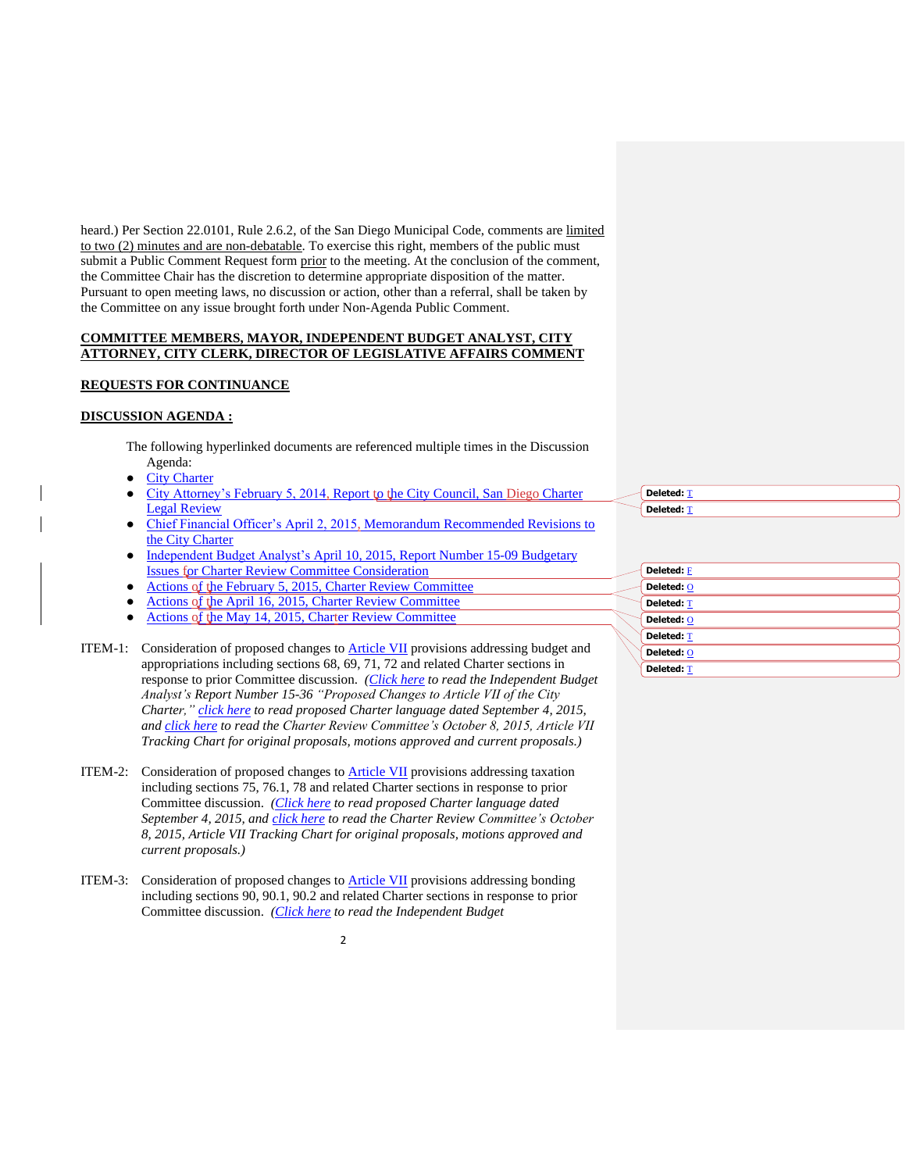heard.) Per Section 22.0101, Rule 2.6.2, of the San Diego Municipal Code, comments are limited to two (2) minutes and are non-debatable. To exercise this right, members of the public must submit a Public Comment Request form prior to the meeting. At the conclusion of the comment, the Committee Chair has the discretion to determine appropriate disposition of the matter. Pursuant to open meeting laws, no discussion or action, other than a referral, shall be taken by the Committee on any issue brought forth under Non-Agenda Public Comment.

#### **COMMITTEE MEMBERS, MAYOR, INDEPENDENT BUDGET ANALYST, CITY ATTORNEY, CITY CLERK, DIRECTOR OF LEGISLATIVE AFFAIRS COMMENT**

### **REQUESTS FOR CONTINUANCE**

# **DISCUSSION AGENDA :**

The following hyperlinked documents are referenced multiple times in the Discussion Agenda:

- **[City Charter](http://www.sandiego.gov/city-clerk/officialdocs/legisdocs/charter.shtml)**
- City Attorney's February 5, 2014, [Report to the City Council, San Diego](http://docs.sandiego.gov/councilcomm_agendas_attach/2015/cr_150205_1.pdf) Charter [Legal Review](http://docs.sandiego.gov/councilcomm_agendas_attach/2015/cr_150205_1.pdf)
- Chief Financial Officer's April 2, 2015, [Memorandum Recommended Revisions to](http://docs.sandiego.gov/councilcomm_agendas_attach/2015/cr_150416_cfo.pdf)  [the City Charter](http://docs.sandiego.gov/councilcomm_agendas_attach/2015/cr_150416_cfo.pdf)
- Independent Budget Analyst's April 10, 2015, Report Number 15-09 Budgetary [Issues for Charter Review Committee Consideration](http://docs.sandiego.gov/councilcomm_agendas_attach/2015/cr_150416_iba.pdf)
- [Actions of the February 5, 2015, Charter Review Committee](http://docs.sandiego.gov/ccaction_charterrev/cr150205_actions.pdf)
- [Actions of the April 16, 2015, Charter Review Committee](http://docs.sandiego.gov/ccaction_charterrev/cr150416_actions.pdf)
- [Actions of the May 14, 2015, Charter Review Committee](http://docs.sandiego.gov/ccaction_charterrev/cr150514_actions.pdf)

ITEM-1: Consideration of proposed changes to [Article VII](http://docs.sandiego.gov/citycharter/Article%20VII.pdf) provisions addressing budget and appropriations including sections 68, 69, 71, 72 and related Charter sections in response to prior Committee discussion. *[\(Click here](http://docs.sandiego.gov/councilcomm_agendas_attach/2015/cr_151008_4.pdf) to read the Independent Budget Analyst's Report Number 15-36 "Proposed Changes to Article VII of the City Charter," [click here](http://docs.sandiego.gov/councilcomm_agendas_attach/2015/cr_151008_3.pdf) to read proposed Charter language dated September 4, 2015, and [click here](http://docs.sandiego.gov/councilcomm_agendas_attach/2015/cr_151008_1.pdf) to read the Charter Review Committee's October 8, 2015, Article VII Tracking Chart for original proposals, motions approved and current proposals.)*

- ITEM-2: Consideration of proposed changes to **Article VII** provisions addressing taxation including sections 75, 76.1, 78 and related Charter sections in response to prior Committee discussion. *[\(Click here](http://docs.sandiego.gov/councilcomm_agendas_attach/2015/cr_151008_3.pdf) to read proposed Charter language dated September 4, 2015, and [click here](http://docs.sandiego.gov/councilcomm_agendas_attach/2015/cr_151008_1.pdf) to read the Charter Review Committee's October 8, 2015, Article VII Tracking Chart for original proposals, motions approved and current proposals.)*
- ITEM-3: Consideration of proposed changes to **Article VII** provisions addressing bonding including sections 90, 90.1, 90.2 and related Charter sections in response to prior Committee discussion. *[\(Click here](http://docs.sandiego.gov/councilcomm_agendas_attach/2015/cr_151008_2.pdf) to read the Independent Budget*

**[Deleted:](http://docs.sandiego.gov/councilcomm_agendas_attach/2015/cr_150205_1.pdf)** T **[Deleted:](http://docs.sandiego.gov/councilcomm_agendas_attach/2015/cr_150205_1.pdf)** T

| Deleted: F        |  |
|-------------------|--|
| Deleted: O        |  |
| <b>Deleted: T</b> |  |
| Deleted: O        |  |
| <b>Deleted: T</b> |  |
| Deleted: O        |  |
| <b>Deleted: T</b> |  |
|                   |  |

 $\overline{\phantom{0}}$